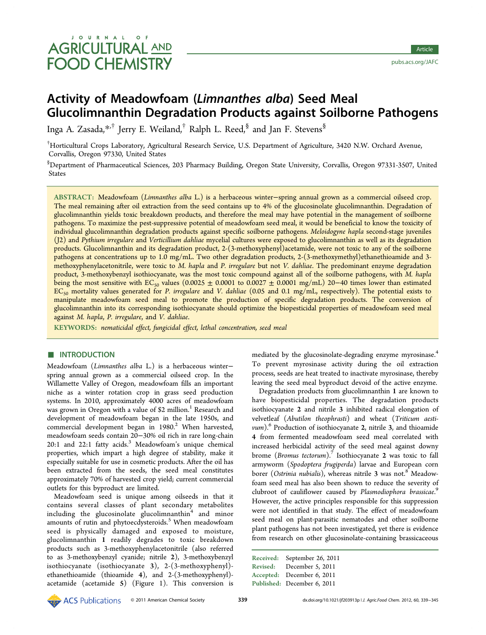## J O U R N A L **AGRICULTURAL AND FOOD CHEMISTRY**

# Activity of Meadowfoam (Limnanthes alba) Seed Meal Glucolimnanthin Degradation Products against Soilborne Pathogens

Inga A. Zasada,[\\*](#page-6-0)<sup>\*</sup> Jerry E. Weiland,<sup>†</sup> Ralph L. Reed,<sup>§</sup> and Jan F. Stevens<sup>§</sup>

† Horticultural Crops Laboratory, Agricultural Research Service, U.S. Department of Agriculture, 3420 N.W. Orchard Avenue, Corvallis, Oregon 97330, United States

§ Department of Pharmaceutical Sciences, 203 Pharmacy Building, Oregon State University, Corvallis, Oregon 97331-3507, United States

ABSTRACT: Meadowfoam (Limnanthes alba L.) is a herbaceous winter–spring annual grown as a commercial oilseed crop. The meal remaining after oil extraction from the seed contains up to 4% of the glucosinolate glucolimnanthin. Degradation of glucolimnanthin yields toxic breakdown products, and therefore the meal may have potential in the management of soilborne pathogens. To maximize the pest-suppressive potential of meadowfoam seed meal, it would be beneficial to know the toxicity of individual glucolimnanthin degradation products against specific soilborne pathogens. Meloidogyne hapla second-stage juveniles (J2) and Pythium irregulare and Verticillium dahliae mycelial cultures were exposed to glucolimnanthin as well as its degradation products. Glucolimnanthin and its degradation product, 2-(3-methoxyphenyl)acetamide, were not toxic to any of the soilborne pathogens at concentrations up to 1.0 mg/mL. Two other degradation products, 2-(3-methoxymethyl)ethanethioamide and 3 methoxyphenylacetonitrile, were toxic to M. hapla and P. irregulare but not V. dahliae. The predominant enzyme degradation product, 3-methoxybenzyl isothiocyanate, was the most toxic compound against all of the soilborne pathogens, with M. hapla being the most sensitive with EC<sub>50</sub> values (0.0025  $\pm$  0.0001 to 0.0027  $\pm$  0.0001 mg/mL) 20–40 times lower than estimated  $EC_{50}$  mortality values generated for P. irregulare and V. dahliae (0.05 and 0.1 mg/mL, respectively). The potential exists to manipulate meadowfoam seed meal to promote the production of specific degradation products. The conversion of glucolimnanthin into its corresponding isothiocyanate should optimize the biopesticidal properties of meadowfoam seed meal against M. hapla, P. irregulare, and V. dahliae.

KEYWORDS: nematicidal effect, fungicidal effect, lethal concentration, seed meal

## **■ INTRODUCTION**

Meadowfoam (Limnanthes alba L.) is a herbaceous winter− spring annual grown as a commercial oilseed crop. In the Willamette Valley of Oregon, meadowfoam fills an important niche as a winter rotation crop in grass seed production systems. In 2010, approximately 4000 acres of meadowfoam was grown in Oregon with a value of \$2 million.<sup>[1](#page-6-0)</sup> Research and development of meadowfoam began in the late 1950s, and commercial development began in  $1980<sup>2</sup>$  When harvested, meadowfoam seeds contain 20−30% oil rich in rare long-chain 20:1 and 22:1 fatty acids.[3](#page-6-0) Meadowfoam's unique chemical properties, which impart a high degree of stability, make it especially suitable for use in cosmetic products. After the oil has been extracted from the seeds, the seed meal constitutes approximately 70% of harvested crop yield; current commercial outlets for this byproduct are limited.

Meadowfoam seed is unique among oilseeds in that it contains several classes of plant secondary metabolites including the glucosinolate glucolimnanthin $4$  and minor amounts of rutin and phytoecdysteroids.<sup>[5](#page-6-0)</sup> When meadowfoam seed is physically damaged and exposed to moisture, glucolimnanthin 1 readily degrades to toxic breakdown products such as 3-methoxyphenylacetonitrile (also referred to as 3-methoxybenzyl cyanide; nitrile 2), 3-methoxybenzyl isothiocyanate (isothiocyanate 3), 2-(3-methoxyphenyl) ethanethioamide (thioamide 4), and 2-(3-methoxyphenyl) acetamide (acetamide 5) (Figure [1\)](#page-1-0). This conversion is

mediated by the glucosinolate-degrading enzyme myrosinase.<sup>[4](#page-6-0)</sup> To prevent myrosinase activity during the oil extraction process, seeds are heat treated to inactivate myrosinase, thereby leaving the seed meal byproduct devoid of the active enzyme.

Degradation products from glucolimnanthin 1 are known to have biopesticidal properties. The degradation products isothiocyanate 2 and nitrile 3 inhibited radical elongation of velvetleaf (Abutilon theophrasti) and wheat (Triticum aesti $vum$ <sup>[6](#page-6-0)</sup> Production of isothiocyanate 2, nitrile 3, and thioamide 4 from fermented meadowfoam seed meal correlated with increased herbicidal activity of the seed meal against downy brome  $(Bromus tectorum)$ .<sup>[7](#page-6-0)</sup> Isothiocyanate 2 was toxic to fall armyworm (Spodoptera frugiperda) larvae and European corn borer (Ostrinia nubialis), whereas nitrile 3 was not.<sup>[8](#page-6-0)</sup> Meadowfoam seed meal has also been shown to reduce the severity of clubroot of cauliflower caused by Plasmodiophora brassicae.<sup>[9](#page-6-0)</sup> However, the active principles responsible for this suppression were not identified in that study. The effect of meadowfoam seed meal on plant-parasitic nematodes and other soilborne plant pathogens has not been investigated, yet there is evidence from research on other glucosinolate-containing brassicaceous

| Received: | September 26, 2011          |
|-----------|-----------------------------|
| Revised:  | December 5, 2011            |
|           | Accepted: December 6, 2011  |
|           | Published: December 6, 2011 |

| ACS Publications | © 2011 American Chemical |
|------------------|--------------------------|
|------------------|--------------------------|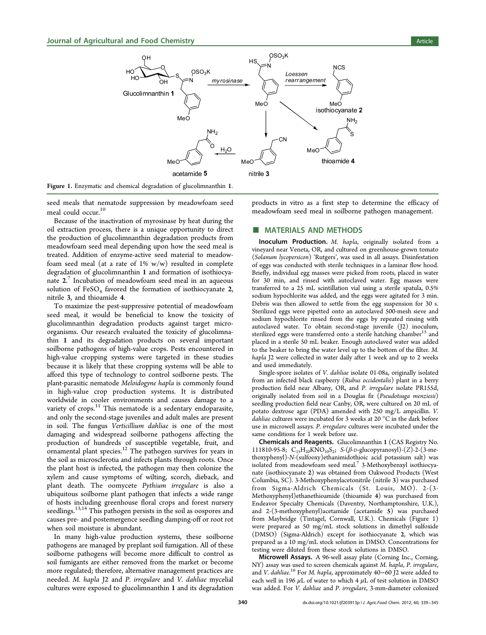<span id="page-1-0"></span>

Figure 1. Enzymatic and chemical degradation of glucolimnanthin 1.

seed meals that nematode suppression by meadowfoam seed meal could occur.<sup>[10](#page-6-0)</sup>

Because of the inactivation of myrosinase by heat during the oil extraction process, there is a unique opportunity to direct the production of glucolimnanthin degradation products from meadowfoam seed meal depending upon how the seed meal is treated. Addition of enzyme-active seed material to meadowfoam seed meal (at a rate of  $1\%$  w/w) resulted in complete degradation of glucolimnanthin 1 and formation of isothiocyanate 2. [7](#page-6-0) Incubation of meadowfoam seed meal in an aqueous solution of  $FeSO<sub>4</sub>$  favored the formation of isothiocyanate 2, nitrile 3, and thioamide 4.

To maximize the pest-suppressive potential of meadowfoam seed meal, it would be beneficial to know the toxicity of glucolimnanthin degradation products against target microorganisms. Our research evaluated the toxicity of glucolimnathin 1 and its degradation products on several important soilborne pathogens of high-value crops. Pests encountered in high-value cropping systems were targeted in these studies because it is likely that these cropping systems will be able to afford this type of technology to control soilborne pests. The plant-parasitic nematode Meloidogyne hapla is commonly found in high-value crop production systems. It is distributed worldwide in cooler environments and causes damage to a variety of crops.<sup>[11](#page-6-0)</sup> This nematode is a sedentary endoparasite, and only the second-stage juveniles and adult males are present in soil. The fungus Verticillium dahliae is one of the most damaging and widespread soilborne pathogens affecting the production of hundreds of susceptible vegetable, fruit, and ornamental plant species.<sup>[12](#page-6-0)</sup> The pathogen survives for years in the soil as microsclerotia and infects plants through roots. Once the plant host is infected, the pathogen may then colonize the xylem and cause symptoms of wilting, scorch, dieback, and plant death. The oomycete Pythium irregulare is also a ubiquitous soilborne plant pathogen that infects a wide range of hosts including greenhouse floral crops and forest nursery seedlings.<sup>[13,14](#page-6-0)</sup> This pathogen persists in the soil as oospores and causes pre- and postemergence seedling damping-off or root rot when soil moisture is abundant.

In many high-value production systems, these soilborne pathogens are managed by preplant soil fumigation. All of these soilborne pathogens will become more difficult to control as soil fumigants are either removed from the market or become more regulated; therefore, alternative management practices are needed. M. hapla J2 and P. irregulare and V. dahliae mycelial cultures were exposed to glucolimnanthin 1 and its degradation

products in vitro as a first step to determine the efficacy of meadowfoam seed meal in soilborne pathogen management.

#### ■ MATERIALS AND METHODS

Inoculum Production. M. hapla, originally isolated from a vineyard near Veneta, OR, and cultured on greenhouse-grown tomato (Solanum lycopersicon) 'Rutgers', was used in all assays. Disinfestation of eggs was conducted with sterile techniques in a laminar flow hood. Briefly, individual egg masses were picked from roots, placed in water for 30 min, and rinsed with autoclaved water. Egg masses were transferred to a 25 mL scintillation vial using a sterile spatula, 0.5% sodium hypochlorite was added, and the eggs were agitated for 3 min. Debris was then allowed to settle from the egg suspension for 30 s. Sterilized eggs were pipetted onto an autoclaved 500-mesh sieve and sodium hypochlorite rinsed from the eggs by repeated rinsing with autoclaved water. To obtain second-stage juvenile (J2) inoculum, sterilized eggs were transferred onto a sterile hatching chamber<sup>[15](#page-6-0)</sup> and placed in a sterile 50 mL beaker. Enough autoclaved water was added to the beaker to bring the water level up to the bottom of the filter. M. hapla J2 were collected in water daily after 1 week and up to 2 weeks and used immediately.

Single-spore isolates of V. dahliae isolate 01-08a, originally isolated from an infected black raspberry (Rubus occidentalis) plant in a berry production field near Albany, OR, and P. irregulare isolate PR155d, originally isolated from soil in a Douglas fir (Pseudotsuga menziesii) seedling production field near Canby, OR, were cultured on 20 mL of potato dextrose agar (PDA) amended with 250 mg/L ampicillin. V. dahliae cultures were incubated for 3 weeks at 20 °C in the dark before use in microwell assays. P. irregulare cultures were incubated under the same conditions for 1 week before use.

Chemicals and Reagents. Glucolimnanthin 1 (CAS Registry No. 111810-95-8;  $C_{15}H_{20}KNO_{10}S_2$ ; S-( $\beta$ -D-glucopyranosyl)-(Z)-2-(3-methoxyphenyl)-N-(sulfooxy)ethanimidothioic acid potassium salt) was isolated from meadowfoam seed meal.<sup>[7](#page-6-0)</sup> 3-Methoxybenxyl isothiocyanate (isothiocyanate 2) was obtained from Oakwood Products (West Columbia, SC). 3-Methoxyphenylacetonitrile (nitrile 3) was purchased from Sigma-Aldrich Chemicals (St. Louis, MO). 2-(3- Methoxyphenyl)ethanethioamide (thioamide 4) was purchased from Endeavor Specialty Chemicals (Daventry, Northamptonshire, U.K.), and 2-(3-methoxyphenyl)acetamide (acetamide 5) was purchased from Maybridge (Tintagel, Cornwall, U.K.). Chemicals (Figure 1) were prepared as 50 mg/mL stock solutions in dimethyl sulfoxide (DMSO) (Sigma-Aldrich) except for isothiocyanate 2, which was prepared as a 10 mg/mL stock solution in DMSO. Concentrations for testing were diluted from these stock solutions in DMSO.

Microwell Assays. A 96-well assay plate (Corning Inc., Corning, NY) assay was used to screen chemicals against M. hapla, P. irregulare, and V. dahliae. [16](#page-6-0) For M. hapla, approximately 40−60 J2 were added to each well in 196  $\mu$ L of water to which 4  $\mu$ L of test solution in DMSO was added. For V. dahliae and P. irregulare, 3-mm-diameter colonized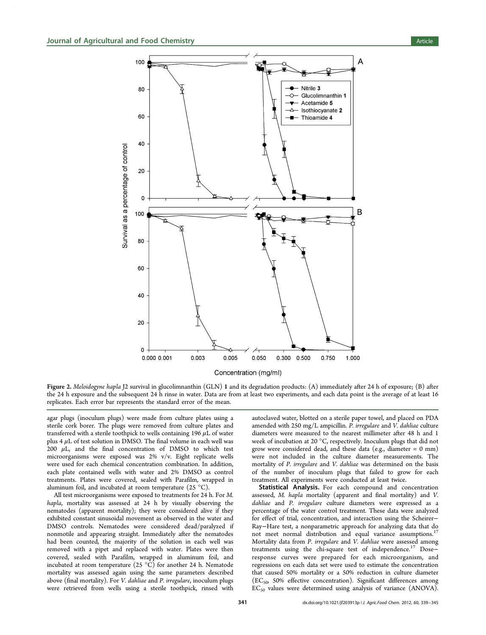<span id="page-2-0"></span>

Figure 2. Meloidogyne hapla J2 survival in glucolimnanthin (GLN) 1 and its degradation products: (A) immediately after 24 h of exposure; (B) after the 24 h exposure and the subsequent 24 h rinse in water. Data are from at least two experiments, and each data point is the average of at least 16 replicates. Each error bar represents the standard error of the mean.

agar plugs (inoculum plugs) were made from culture plates using a sterile cork borer. The plugs were removed from culture plates and transferred with a sterile toothpick to wells containing 196  $\mu$ L of water plus 4  $\mu$ L of test solution in DMSO. The final volume in each well was 200  $\mu$ L, and the final concentration of DMSO to which test microorganisms were exposed was 2% v/v. Eight replicate wells were used for each chemical concentration combination. In addition, each plate contained wells with water and 2% DMSO as control treatments. Plates were covered, sealed with Parafilm, wrapped in aluminum foil, and incubated at room temperature  $(25 \text{ °C})$ .

All test microorganisms were exposed to treatments for 24 h. For M. hapla, mortality was assessed at 24 h by visually observing the nematodes (apparent mortality); they were considered alive if they exhibited constant sinusoidal movement as observed in the water and DMSO controls. Nematodes were considered dead/paralyzed if nonmotile and appearing straight. Immediately after the nematodes had been counted, the majority of the solution in each well was removed with a pipet and replaced with water. Plates were then covered, sealed with Parafilm, wrapped in aluminum foil, and incubated at room temperature (25 °C) for another 24 h. Nematode mortality was assessed again using the same parameters described above (final mortality). For V. dahliae and P. irregulare, inoculum plugs were retrieved from wells using a sterile toothpick, rinsed with

autoclaved water, blotted on a sterile paper towel, and placed on PDA amended with 250 mg/L ampicillin. P. irregulare and V. dahliae culture diameters were measured to the nearest millimeter after 48 h and 1 week of incubation at 20 °C, respectively. Inoculum plugs that did not grow were considered dead, and these data (e.g., diameter = 0 mm) were not included in the culture diameter measurements. The mortality of P. irregulare and V. dahliae was determined on the basis of the number of inoculum plugs that failed to grow for each treatment. All experiments were conducted at least twice.

Statistical Analysis. For each compound and concentration assessed, M. hapla mortality (apparent and final mortality) and V. dahliae and P. irregulare culture diameters were expressed as a percentage of the water control treatment. These data were analyzed for effect of trial, concentration, and interaction using the Scheirer− Ray−Hare test, a nonparametric approach for analyzing data that do not meet normal distribution and equal variance assumptions.<sup>1</sup> Mortality data from P. irregulare and V. dahliae were assessed among treatments using the chi-square test of independence.[17](#page-6-0) Dose− response curves were prepared for each microorganism, and regressions on each data set were used to estimate the concentration that caused 50% mortality or a 50% reduction in culture diameter  $(EC<sub>50</sub>, 50%$  effective concentration). Significant differences among  $EC_{50}$  values were determined using analysis of variance (ANOVA).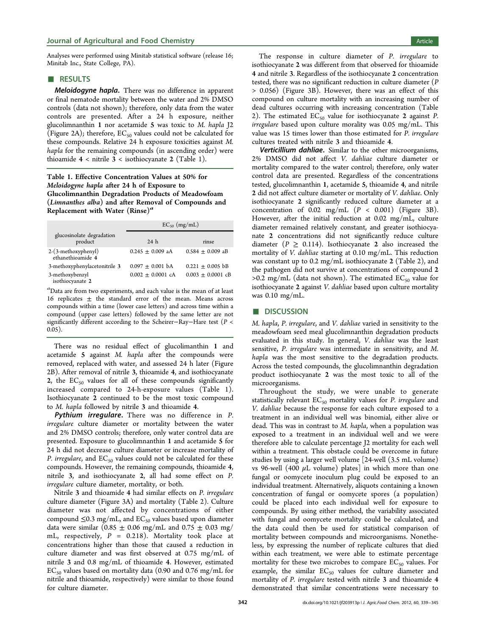Analyses were performed using Minitab statistical software (release 16; Minitab Inc., State College, PA).

#### ■ RESULTS

Meloidogyne hapla. There was no difference in apparent or final nematode mortality between the water and 2% DMSO controls (data not shown); therefore, only data from the water controls are presented. After a 24 h exposure, neither glucolimnanthin 1 nor acetamide 5 was toxic to M. hapla J2 (Figure [2](#page-2-0)A); therefore,  $EC_{50}$  values could not be calculated for these compounds. Relative 24 h exposure toxicities against M. hapla for the remaining compounds (in ascending order) were thioamide  $4 <$  nitrile  $3 <$  isothiocyanate 2 (Table 1).

Table 1. Effective Concentration Values at 50% for Meloidogyne hapla after 24 h of Exposure to Glucolimnanthin Degradation Products of Meadowfoam (Limnanthes alba) and after Removal of Compounds and Replacement with Water  $(Rinse)^a$ 

|                                          | $EC_{50}$ (mg/mL)    |                     |
|------------------------------------------|----------------------|---------------------|
| glucosinolate degradation<br>product     | 24 <sub>h</sub>      | rinse               |
| 2-(3-methoxyphenyl)<br>ethanethioamide 4 | $0.245 + 0.009$ aA   | $0.584 + 0.009$ aB  |
| 3-methoxyphenylacetonitrile 3            | $0.097 \pm 0.001$ bA | $0.221 + 0.005$ bB  |
| 3-methoxybenzyl<br>isothiocyanate 2      | $0.002 + 0.0001$ cA  | $0.003 + 0.0001$ cB |

 $a$ Data are from two experiments, and each value is the mean of at least 16 replicates  $\pm$  the standard error of the mean. Means across compounds within a time (lower case letters) and across time within a compound (upper case letters) followed by the same letter are not significantly different according to the Scheirer−Ray−Hare test (P < 0.05).

There was no residual effect of glucolimanthin 1 and acetamide 5 against M. hapla after the compounds were removed, replaced with water, and assessed 24 h later (Figure [2](#page-2-0)B). After removal of nitrile 3, thioamide 4, and isothiocyanate 2, the  $EC_{50}$  values for all of these compounds significantly increased compared to 24-h-exposure values (Table 1). Isothiocyanate 2 continued to be the most toxic compound to M. hapla followed by nitrile 3 and thioamide 4.

Pythium irregulare. There was no difference in P. irregulare culture diameter or mortality between the water and 2% DMSO controls; therefore, only water control data are presented. Exposure to glucolimnanthin 1 and acetamide 5 for 24 h did not decrease culture diameter or increase mortality of P. irregulare, and  $EC_{50}$  values could not be calculated for these compounds. However, the remaining compounds, thioamide 4, nitrile 3, and isothiocyanate 2, all had some effect on P. irregulare culture diameter, mortality, or both.

Nitrile 3 and thioamide 4 had similar effects on P. irregulare culture diameter (Figure [3A](#page-4-0)) and mortality (Table [2\)](#page-4-0). Culture diameter was not affected by concentrations of either compound  $\leq 0.3$  mg/mL, and EC<sub>50</sub> values based upon diameter data were similar (0.85  $\pm$  0.06 mg/mL and 0.75  $\pm$  0.03 mg/ mL, respectively,  $P = 0.218$ ). Mortality took place at concentrations higher than those that caused a reduction in culture diameter and was first observed at 0.75 mg/mL of nitrile 3 and 0.8 mg/mL of thioamide 4. However, estimated  $EC_{50}$  values based on mortality data (0.90 and 0.76 mg/mL for nitrile and thioamide, respectively) were similar to those found for culture diameter.

The response in culture diameter of P. irregulare to isothiocyanate 2 was different from that observed for thioamide 4 and nitrile 3. Regardless of the isothiocyanate 2 concentration tested, there was no significant reduction in culture diameter (P > 0.056) (Figure [3](#page-4-0)B). However, there was an effect of this compound on culture mortality with an increasing number of dead cultures occurring with increasing concentration (Table [2](#page-4-0)). The estimated  $EC_{50}$  value for isothiocyanate 2 against P. irregulare based upon culture morality was 0.05 mg/mL. This value was 15 times lower than those estimated for P. irregulare cultures treated with nitrile 3 and thioamide 4.

Verticillium dahliae. Similar to the other microorganisms, 2% DMSO did not affect V. dahliae culture diameter or mortality compared to the water control; therefore, only water control data are presented. Regardless of the concentrations tested, glucolimnanthin 1, acetamide 5, thioamide 4, and nitrile 2 did not affect culture diameter or mortality of V. dahliae. Only isothiocyanate 2 significantly reduced culture diameter at a concentration of 0.02 mg/mL  $(P < 0.001)$  (Figure [3B](#page-4-0)). However, after the initial reduction at 0.02 mg/mL, culture diameter remained relatively constant, and greater isothiocyanate 2 concentrations did not significantly reduce culture diameter ( $P \ge 0.114$ ). Isothiocyanate 2 also increased the mortality of V. dahliae starting at 0.10 mg/mL. This reduction was constant up to 0.2 mg/mL isothiocyanate 2 (Table [2\)](#page-4-0), and the pathogen did not survive at concentrations of compound 2  $>0.2$  mg/mL (data not shown). The estimated EC<sub>50</sub> value for isothiocyanate 2 against V. dahliae based upon culture mortality was 0.10 mg/mL.

## **DISCUSSION**

M. hapla, P. irregulare, and V. dahliae varied in sensitivity to the meadowfoam seed meal glucolimnanthin degradation products evaluated in this study. In general, V. dahliae was the least sensitive, P. irregulare was intermediate in sensitivity, and M. hapla was the most sensitive to the degradation products. Across the tested compounds, the glucolimnanthin degradation product isothiocyanate 2 was the most toxic to all of the microorganisms.

Throughout the study, we were unable to generate statistically relevant  $EC_{50}$  mortality values for P. irregulare and V. dahliae because the response for each culture exposed to a treatment in an individual well was binomial, either alive or dead. This was in contrast to  $M$ . hapla, when a population was exposed to a treatment in an individual well and we were therefore able to calculate percentage J2 mortality for each well within a treatment. This obstacle could be overcome in future studies by using a larger well volume [24-well (3.5 mL volume) vs 96-well (400  $\mu$ L volume) plates] in which more than one fungal or oomycete inoculum plug could be exposed to an individual treatment. Alternatively, aliquots containing a known concentration of fungal or oomycete spores (a population) could be placed into each individual well for exposure to compounds. By using either method, the variability associated with fungal and oomycete mortality could be calculated, and the data could then be used for statistical comparison of mortality between compounds and microorganisms. Nonetheless, by expressing the number of replicate cultures that died within each treatment, we were able to estimate percentage mortality for these two microbes to compare  $EC_{50}$  values. For example, the similar  $EC_{50}$  values for culture diameter and mortality of P. irregulare tested with nitrile 3 and thioamide 4 demonstrated that similar concentrations were necessary to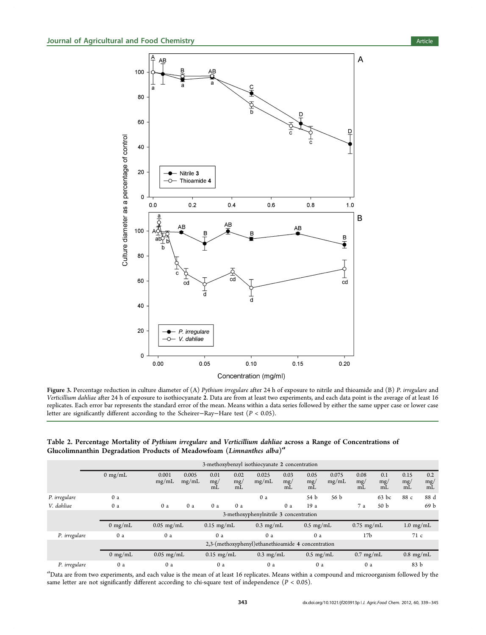<span id="page-4-0"></span>

Figure 3. Percentage reduction in culture diameter of (A) Pythium irregulare after 24 h of exposure to nitrile and thioamide and (B) P. irregulare and Verticillium dahliae after 24 h of exposure to isothiocyanate 2. Data are from at least two experiments, and each data point is the average of at least 16 replicates. Each error bar represents the standard error of the mean. Means within a data series followed by either the same upper case or lower case letter are significantly different according to the Scheirer−Ray−Hare test (P < 0.05).

| Table 2. Percentage Mortality of Pythium irregulare and Verticillium dahliae across a Range of Concentrations of |  |
|------------------------------------------------------------------------------------------------------------------|--|
| Glucolimnanthin Degradation Products of Meadowfoam $(Limnanthes\ alba)^a$                                        |  |

|               | 3-methoxybenzyl isothiocyanate 2 concentration |                                                     |                |                   |                   |                     |                   |                     |                |                               |                  |                               |                  |
|---------------|------------------------------------------------|-----------------------------------------------------|----------------|-------------------|-------------------|---------------------|-------------------|---------------------|----------------|-------------------------------|------------------|-------------------------------|------------------|
|               | $0 \text{ mg/mL}$                              | 0.001<br>mg/mL                                      | 0.005<br>mg/mL | 0.01<br>mg/<br>mL | 0.02<br>mg/<br>mL | 0.025<br>mg/mL      | 0.03<br>mg/<br>mL | 0.05<br>mg/<br>mL   | 0.075<br>mg/mL | 0.08<br>mg/<br>m <sub>L</sub> | 0.1<br>mg/<br>mL | 0.15<br>mg/<br>m <sub>L</sub> | 0.2<br>mg/<br>mL |
| P. irregulare | 0a                                             |                                                     |                |                   |                   | 0a                  |                   | 54 b                | 56 b           |                               | 63 bc            | 88 c                          | 88 d             |
| V. dahliae    | 0a                                             | 0a                                                  | 0a             | 0a                | 0a                |                     | 0a                | 19a                 |                | 7a                            | 50 <sub>b</sub>  |                               | 69 b             |
|               |                                                | 3-methoxyphenylnitrile 3 concentration              |                |                   |                   |                     |                   |                     |                |                               |                  |                               |                  |
|               | $0 \text{ mg/mL}$                              | $0.05$ mg/mL                                        |                | $0.15$ mg/mL      |                   | $0.3 \text{ mg/mL}$ |                   | $0.5 \text{ mg/mL}$ |                | $0.75$ mg/mL                  |                  | $1.0 \text{ mg/mL}$           |                  |
| P. irregulare | 0 a                                            | 0a                                                  |                | 0a                |                   | 0a                  |                   | 0a                  |                | 17 <sub>b</sub>               |                  | 71c                           |                  |
|               |                                                | 2,3-(methoxyphenyl) ethanethioamide 4 concentration |                |                   |                   |                     |                   |                     |                |                               |                  |                               |                  |
|               | $0 \text{ mg/mL}$                              | $0.05$ mg/mL                                        |                | $0.15$ mg/mL      |                   | $0.3 \text{ mg/mL}$ |                   | $0.5 \text{ mg/mL}$ |                | $0.7 \text{ mg/mL}$           |                  | $0.8$ mg/mL                   |                  |
| P. irregulare | 0a                                             | 0 <sub>a</sub>                                      |                | 0a                |                   | 0a                  |                   | 0 <sub>a</sub>      |                | 0a                            |                  | 83 b                          |                  |

 $a$ Data are from two experiments, and each value is the mean of at least 16 replicates. Means within a compound and microorganism followed by the same letter are not significantly different according to chi-square test of independence  $(P < 0.05)$ .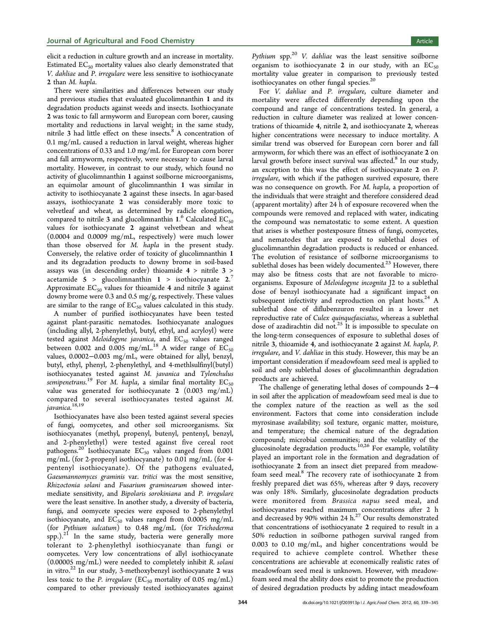elicit a reduction in culture growth and an increase in mortality. Estimated  $EC_{50}$  mortality values also clearly demonstrated that V. dahliae and P. irregulare were less sensitive to isothiocyanate 2 than M. hapla.

There were similarities and differences between our study and previous studies that evaluated glucolimnanthin 1 and its degradation products against weeds and insects. Isothiocyanate 2 was toxic to fall armyworm and European corn borer, causing mortality and reductions in larval weight; in the same study, nitrile 3 had little effect on these insects.<sup>[8](#page-6-0)</sup> A concentration of 0.1 mg/mL caused a reduction in larval weight, whereas higher concentrations of 0.33 and 1.0 mg/mL for European corn borer and fall armyworm, respectively, were necessary to cause larval mortality. However, in contrast to our study, which found no activity of glucolimnanthin 1 against soilborne microorganisms, an equimolar amount of glucolimnanthin 1 was similar in activity to isothiocyanate 2 against these insects. In agar-based assays, isothiocyanate 2 was considerably more toxic to velvetleaf and wheat, as determined by radicle elongation, compared to nitrile 3 and glucolimnanthin  $1.<sup>6</sup>$  $1.<sup>6</sup>$  $1.<sup>6</sup>$  Calculated EC<sub>50</sub> values for isothiocyanate 2 against velvetbean and wheat (0.0004 and 0.0009 mg/mL, respectively) were much lower than those observed for M. hapla in the present study. Conversely, the relative order of toxicity of glucolimnanthin 1 and its degradation products to downy brome in soil-based assays was (in descending order) thioamide 4 > nitrile 3 > acetamide  $5 >$  glucolimnanthin  $1 >$  isothiocyanate  $2.^7$  $2.^7$ Approximate  $EC_{50}$  values for thioamide 4 and nitrile 3 against downy brome were 0.3 and 0.5 mg/g, respectively. These values are similar to the range of  $EC_{50}$  values calculated in this study.

A number of purified isothiocyanates have been tested against plant-parasitic nematodes. Isothiocyanate analogues (including allyl, 2-phenylethyl, butyl, ethyl, and acryloyl) were tested against *Meloidogyne javanica,* and  $EC_{50}$  values ranged between 0.002 and 0.005 mg/mL.<sup>[18](#page-6-0)</sup> A wider range of  $\overline{EC}_{50}$ values, 0.0002−0.003 mg/mL, were obtained for allyl, benzyl, butyl, ethyl, phenyl, 2-phenylethyl, and 4-methlsulfinyl(butyl) isothiocyanates tested against M. javanica and Tylenchulus semipenetrans. $^{19}$  $^{19}$  $^{19}$  For M. hapla, a similar final mortality  $\mathrm{EC}_{50}$ value was generated for isothiocyanate  $2 (0.003 mg/mL)$ compared to several isothiocyanates tested against M. javanica. [18](#page-6-0),[19](#page-6-0)

Isothiocyanates have also been tested against several species of fungi, oomycetes, and other soil microorganisms. Six isothiocyanates (methyl, propenyl, butenyl, pentenyl, benzyl, and 2-phenylethyl) were tested against five cereal root pathogens.<sup>[20](#page-6-0)</sup> Isothiocyanate  $EC_{50}$  values ranged from 0.001 mg/mL (for 2-propenyl isothiocyanate) to 0.01 mg/mL (for 4 pentenyl isothiocyanate). Of the pathogens evaluated, Gaeumannomyces graminis var. tritici was the most sensitive, Rhizoctonia solani and Fusarium graminearum showed intermediate sensitivity, and Bipolaris sorokiniana and P. irregulare were the least sensitive. In another study, a diversity of bacteria, fungi, and oomycete species were exposed to 2-phenylethyl isothiocyanate, and  $EC_{50}$  values ranged from 0.0005 mg/mL (for Pythium sulcatum) to 0.48 mg/mL (for Trichoderma  $spp.$ ).<sup>[21](#page-6-0)</sup> In the same study, bacteria were generally more tolerant to 2-phenylethyl isothiocyanate than fungi or oomycetes. Very low concentrations of allyl isothiocyanate (0.00005 mg/mL) were needed to completely inhibit R. solani in vitro.<sup>[22](#page-6-0)</sup> In our study, 3-methoxybenzyl isothiocyanate 2 was less toxic to the P. irregulare ( $EC_{50}$  mortality of 0.05 mg/mL) compared to other previously tested isothiocyanates against

Pythium  $\text{sp.}^{20}$  $\text{sp.}^{20}$  $\text{sp.}^{20}$  V. dahliae was the least sensitive soilborne organism to isothiocyanate 2 in our study, with an  $EC_{50}$ mortality value greater in comparison to previously tested isothiocyanates on other fungal species.<sup>[20](#page-6-0)</sup>

For V. dahliae and P. irregulare, culture diameter and mortality were affected differently depending upon the compound and range of concentrations tested. In general, a reduction in culture diameter was realized at lower concentrations of thioamide 4, nitrile 2, and isothiocyanate 2, whereas higher concentrations were necessary to induce mortality. A similar trend was observed for European corn borer and fall armyworm, for which there was an effect of isothiocyanate 2 on larval growth before insect survival was affected.<sup>[8](#page-6-0)</sup> In our study, an exception to this was the effect of isothiocyanate 2 on P. irregulare, with which if the pathogen survived exposure, there was no consequence on growth. For M. hapla, a proportion of the individuals that were straight and therefore considered dead (apparent mortality) after 24 h of exposure recovered when the compounds were removed and replaced with water, indicating the compound was nematostatic to some extent. A question that arises is whether postexposure fitness of fungi, oomycetes, and nematodes that are exposed to sublethal doses of glucolimnanthin degradation products is reduced or enhanced. The evolution of resistance of soilborne microorganisms to sublethal doses has been widely documented. $^{23}$  $^{23}$  $^{23}$  However, there may also be fitness costs that are not favorable to microorganisms. Exposure of Meloidogyne incognita J2 to a sublethal dose of benzyl isothiocyanate had a significant impact on subsequent infectivity and reproduction on plant hosts. $^{24}$  $^{24}$  $^{24}$  A sublethal dose of diflubenzuron resulted in a lower net reproductive rate of Culex quinquefasciatus, whereas a sublethal dose of azadirachtin did not.<sup>[25](#page-6-0)</sup> It is impossible to speculate on the long-term consequences of exposure to sublethal doses of nitrile 3, thioamide 4, and isothiocyanate 2 against M. hapla, P. irregulare, and V. dahliae in this study. However, this may be an important consideration if meadowfoam seed meal is applied to soil and only sublethal doses of glucolimnanthin degradation products are achieved.

The challenge of generating lethal doses of compounds 2−4 in soil after the application of meadowfoam seed meal is due to the complex nature of the reaction as well as the soil environment. Factors that come into consideration include myrosinase availability; soil texture, organic matter, moisture, and temperature; the chemical nature of the degradation compound; microbial communities; and the volatility of the glucosinolate degradation products.<sup>[10](#page-6-0),[26](#page-6-0)</sup> For example, volatility played an important role in the formation and degradation of isothiocyanate 2 from an insect diet prepared from meadowfoam seed meal.[8](#page-6-0) The recovery rate of isothiocyanate 2 from freshly prepared diet was 65%, whereas after 9 days, recovery was only 18%. Similarly, glucosinolate degradation products were monitored from Brassica napus seed meal, and isothiocyanates reached maximum concentrations after 2 h and decreased by 90% within 24  $h$ .<sup>27</sup> Our results demonstrated that concentrations of isothiocyanate 2 required to result in a 50% reduction in soilborne pathogen survival ranged from 0.003 to 0.10 mg/mL, and higher concentrations would be required to achieve complete control. Whether these concentrations are achievable at economically realistic rates of meadowfoam seed meal is unknown. However, with meadowfoam seed meal the ability does exist to promote the production of desired degradation products by adding intact meadowfoam